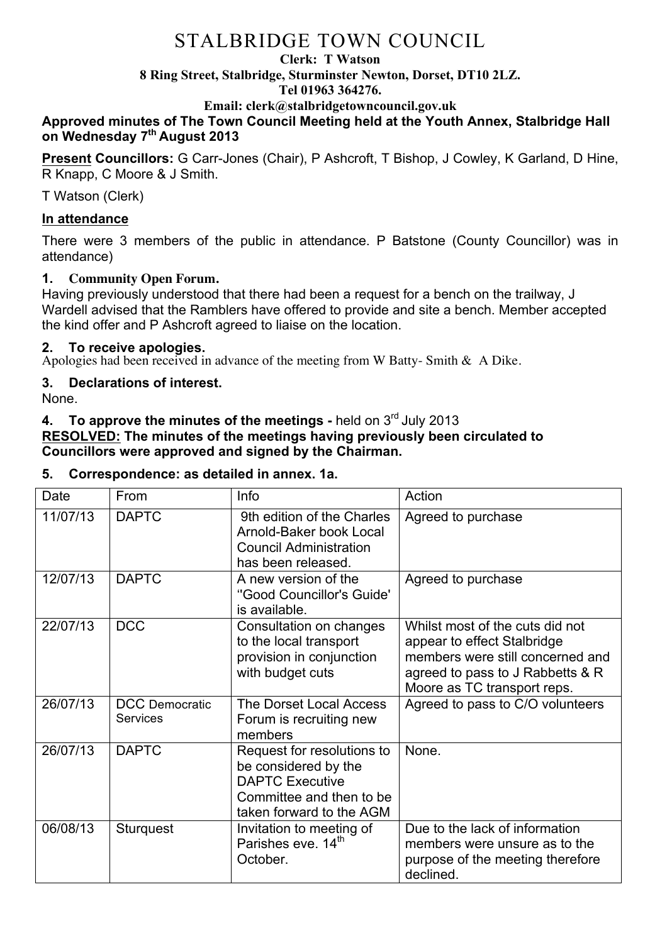#### **Clerk: T Watson**

**8 Ring Street, Stalbridge, Sturminster Newton, Dorset, DT10 2LZ.**

#### **Tel 01963 364276.**

**Email: clerk@stalbridgetowncouncil.gov.uk**

### **Approved minutes of The Town Council Meeting held at the Youth Annex, Stalbridge Hall on Wednesday 7th August 2013**

**Present Councillors:** G Carr-Jones (Chair), P Ashcroft, T Bishop, J Cowley, K Garland, D Hine, R Knapp, C Moore & J Smith.

T Watson (Clerk)

## **In attendance**

There were 3 members of the public in attendance. P Batstone (County Councillor) was in attendance)

## **1. Community Open Forum.**

Having previously understood that there had been a request for a bench on the trailway, J Wardell advised that the Ramblers have offered to provide and site a bench. Member accepted the kind offer and P Ashcroft agreed to liaise on the location.

## **2. To receive apologies.**

Apologies had been received in advance of the meeting from W Batty- Smith & A Dike.

## **3. Declarations of interest.**

None.

### **4. To approve the minutes of the meetings -** held on 3rd July 2013 **RESOLVED: The minutes of the meetings having previously been circulated to**

**Councillors were approved and signed by the Chairman.**

## **5. Correspondence: as detailed in annex. 1a.**

| Date     | From                                     | Info                                                                                                                                  | Action                                                                                                                                                                |
|----------|------------------------------------------|---------------------------------------------------------------------------------------------------------------------------------------|-----------------------------------------------------------------------------------------------------------------------------------------------------------------------|
| 11/07/13 | <b>DAPTC</b>                             | 9th edition of the Charles<br>Arnold-Baker book Local<br><b>Council Administration</b><br>has been released.                          | Agreed to purchase                                                                                                                                                    |
| 12/07/13 | <b>DAPTC</b>                             | A new version of the<br>"Good Councillor's Guide"<br>is available.                                                                    | Agreed to purchase                                                                                                                                                    |
| 22/07/13 | <b>DCC</b>                               | Consultation on changes<br>to the local transport<br>provision in conjunction<br>with budget cuts                                     | Whilst most of the cuts did not<br>appear to effect Stalbridge<br>members were still concerned and<br>agreed to pass to J Rabbetts & R<br>Moore as TC transport reps. |
| 26/07/13 | <b>DCC</b> Democratic<br><b>Services</b> | <b>The Dorset Local Access</b><br>Forum is recruiting new<br>members                                                                  | Agreed to pass to C/O volunteers                                                                                                                                      |
| 26/07/13 | <b>DAPTC</b>                             | Request for resolutions to<br>be considered by the<br><b>DAPTC Executive</b><br>Committee and then to be.<br>taken forward to the AGM | None.                                                                                                                                                                 |
| 06/08/13 | <b>Sturquest</b>                         | Invitation to meeting of<br>Parishes eve. 14 <sup>th</sup><br>October.                                                                | Due to the lack of information<br>members were unsure as to the<br>purpose of the meeting therefore<br>declined.                                                      |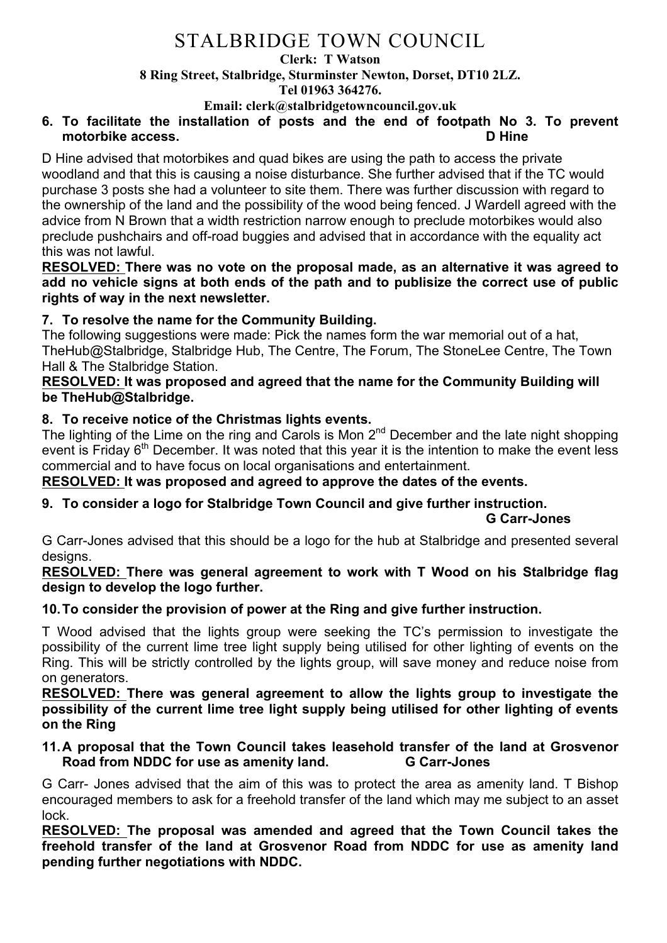#### **Clerk: T Watson**

**8 Ring Street, Stalbridge, Sturminster Newton, Dorset, DT10 2LZ.**

**Tel 01963 364276.** 

**Email: clerk@stalbridgetowncouncil.gov.uk**

#### **6. To facilitate the installation of posts and the end of footpath No 3. To prevent motorbike access. D Hine**

D Hine advised that motorbikes and quad bikes are using the path to access the private woodland and that this is causing a noise disturbance. She further advised that if the TC would purchase 3 posts she had a volunteer to site them. There was further discussion with regard to the ownership of the land and the possibility of the wood being fenced. J Wardell agreed with the advice from N Brown that a width restriction narrow enough to preclude motorbikes would also preclude pushchairs and off-road buggies and advised that in accordance with the equality act this was not lawful.

**RESOLVED: There was no vote on the proposal made, as an alternative it was agreed to add no vehicle signs at both ends of the path and to publisize the correct use of public rights of way in the next newsletter.**

## **7. To resolve the name for the Community Building.**

The following suggestions were made: Pick the names form the war memorial out of a hat, TheHub@Stalbridge, Stalbridge Hub, The Centre, The Forum, The StoneLee Centre, The Town Hall & The Stalbridge Station.

### **RESOLVED: It was proposed and agreed that the name for the Community Building will be TheHub@Stalbridge.**

## **8. To receive notice of the Christmas lights events.**

The lighting of the Lime on the ring and Carols is Mon  $2<sup>nd</sup>$  December and the late night shopping event is Friday  $6<sup>th</sup>$  December. It was noted that this year it is the intention to make the event less commercial and to have focus on local organisations and entertainment.

## **RESOLVED: It was proposed and agreed to approve the dates of the events.**

## **9. To consider a logo for Stalbridge Town Council and give further instruction.**

#### **G Carr-Jones**

G Carr-Jones advised that this should be a logo for the hub at Stalbridge and presented several designs.

#### **RESOLVED: There was general agreement to work with T Wood on his Stalbridge flag design to develop the logo further.**

## **10.To consider the provision of power at the Ring and give further instruction.**

T Wood advised that the lights group were seeking the TC's permission to investigate the possibility of the current lime tree light supply being utilised for other lighting of events on the Ring. This will be strictly controlled by the lights group, will save money and reduce noise from on generators.

### **RESOLVED: There was general agreement to allow the lights group to investigate the possibility of the current lime tree light supply being utilised for other lighting of events on the Ring**

### **11.A proposal that the Town Council takes leasehold transfer of the land at Grosvenor Road from NDDC for use as amenity land. G Carr-Jones**

G Carr- Jones advised that the aim of this was to protect the area as amenity land. T Bishop encouraged members to ask for a freehold transfer of the land which may me subject to an asset lock.

**RESOLVED: The proposal was amended and agreed that the Town Council takes the freehold transfer of the land at Grosvenor Road from NDDC for use as amenity land pending further negotiations with NDDC.**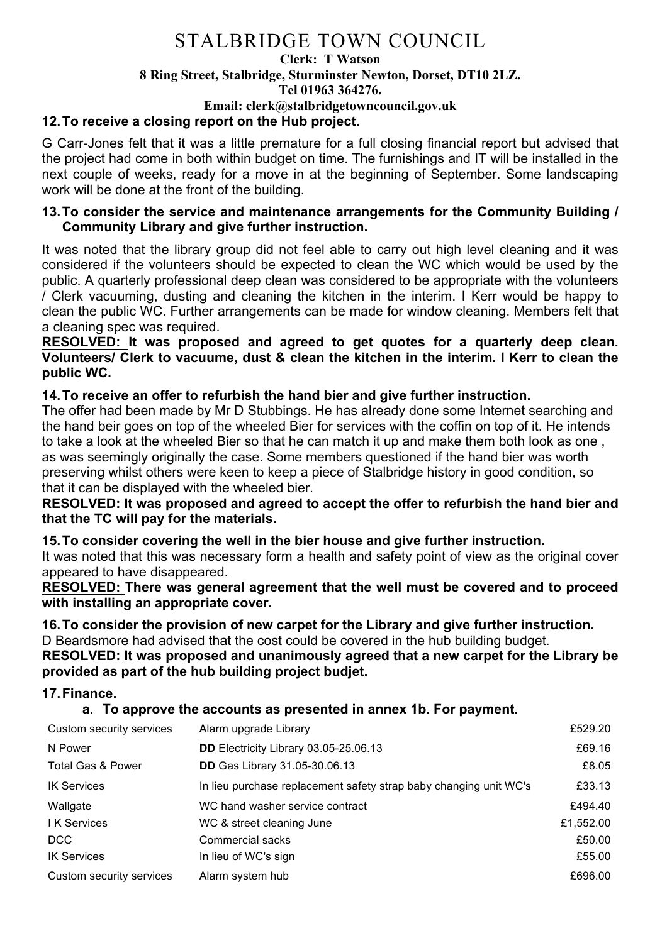## **Clerk: T Watson 8 Ring Street, Stalbridge, Sturminster Newton, Dorset, DT10 2LZ. Tel 01963 364276. Email: clerk@stalbridgetowncouncil.gov.uk**

## **12.To receive a closing report on the Hub project.**

G Carr-Jones felt that it was a little premature for a full closing financial report but advised that the project had come in both within budget on time. The furnishings and IT will be installed in the next couple of weeks, ready for a move in at the beginning of September. Some landscaping work will be done at the front of the building.

#### **13.To consider the service and maintenance arrangements for the Community Building / Community Library and give further instruction.**

It was noted that the library group did not feel able to carry out high level cleaning and it was considered if the volunteers should be expected to clean the WC which would be used by the public. A quarterly professional deep clean was considered to be appropriate with the volunteers / Clerk vacuuming, dusting and cleaning the kitchen in the interim. I Kerr would be happy to clean the public WC. Further arrangements can be made for window cleaning. Members felt that a cleaning spec was required.

#### **RESOLVED: It was proposed and agreed to get quotes for a quarterly deep clean. Volunteers/ Clerk to vacuume, dust & clean the kitchen in the interim. I Kerr to clean the public WC.**

### **14.To receive an offer to refurbish the hand bier and give further instruction.**

The offer had been made by Mr D Stubbings. He has already done some Internet searching and the hand beir goes on top of the wheeled Bier for services with the coffin on top of it. He intends to take a look at the wheeled Bier so that he can match it up and make them both look as one , as was seemingly originally the case. Some members questioned if the hand bier was worth preserving whilst others were keen to keep a piece of Stalbridge history in good condition, so that it can be displayed with the wheeled bier.

#### **RESOLVED: It was proposed and agreed to accept the offer to refurbish the hand bier and that the TC will pay for the materials.**

## **15.To consider covering the well in the bier house and give further instruction.**

It was noted that this was necessary form a health and safety point of view as the original cover appeared to have disappeared.

**RESOLVED: There was general agreement that the well must be covered and to proceed with installing an appropriate cover.**

#### **16.To consider the provision of new carpet for the Library and give further instruction.** D Beardsmore had advised that the cost could be covered in the hub building budget.

**RESOLVED: It was proposed and unanimously agreed that a new carpet for the Library be provided as part of the hub building project budjet.**

#### **17.Finance.**

#### **a. To approve the accounts as presented in annex 1b. For payment.**

| Custom security services     | Alarm upgrade Library                                             | £529.20   |
|------------------------------|-------------------------------------------------------------------|-----------|
| N Power                      | DD Electricity Library 03.05-25.06.13                             | £69.16    |
| <b>Total Gas &amp; Power</b> | <b>DD</b> Gas Library 31.05-30.06.13                              | £8.05     |
| <b>IK Services</b>           | In lieu purchase replacement safety strap baby changing unit WC's | £33.13    |
| Wallgate                     | WC hand washer service contract                                   | £494.40   |
| I K Services                 | WC & street cleaning June                                         | £1,552.00 |
| DCC                          | <b>Commercial sacks</b>                                           | £50.00    |
| <b>IK Services</b>           | In lieu of WC's sign                                              | £55.00    |
| Custom security services     | Alarm system hub                                                  | £696.00   |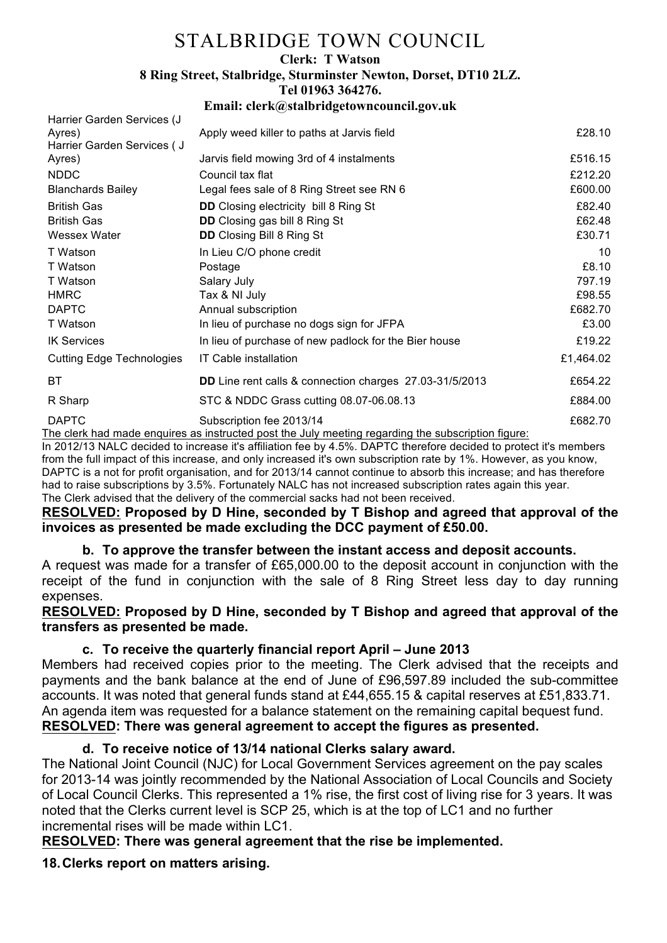#### **Clerk: T Watson**

**8 Ring Street, Stalbridge, Sturminster Newton, Dorset, DT10 2LZ.**

**Tel 01963 364276.** 

#### **Email: clerk@stalbridgetowncouncil.gov.uk**

| Harrier Garden Services (J       |                                                                |           |
|----------------------------------|----------------------------------------------------------------|-----------|
| Ayres)                           | Apply weed killer to paths at Jarvis field                     | £28.10    |
| Harrier Garden Services ( J      |                                                                |           |
| Ayres)                           | Jarvis field mowing 3rd of 4 instalments                       | £516.15   |
| <b>NDDC</b>                      | Council tax flat                                               | £212.20   |
| <b>Blanchards Bailey</b>         | Legal fees sale of 8 Ring Street see RN 6                      | £600.00   |
| <b>British Gas</b>               | <b>DD</b> Closing electricity bill 8 Ring St                   | £82.40    |
| <b>British Gas</b>               | <b>DD</b> Closing gas bill 8 Ring St                           | £62.48    |
| Wessex Water                     | <b>DD</b> Closing Bill 8 Ring St                               | £30.71    |
| T Watson                         | In Lieu C/O phone credit                                       | 10        |
| T Watson                         | Postage                                                        | £8.10     |
| T Watson                         | Salary July                                                    | 797.19    |
| <b>HMRC</b>                      | Tax & NI July                                                  | £98.55    |
| <b>DAPTC</b>                     | Annual subscription                                            | £682.70   |
| T Watson                         | In lieu of purchase no dogs sign for JFPA                      | £3.00     |
| <b>IK Services</b>               | In lieu of purchase of new padlock for the Bier house          | £19.22    |
| <b>Cutting Edge Technologies</b> | <b>IT Cable installation</b>                                   | £1,464.02 |
| ВT                               | <b>DD</b> Line rent calls & connection charges 27.03-31/5/2013 | £654.22   |
| R Sharp                          | STC & NDDC Grass cutting 08.07-06.08.13                        | £884.00   |
| <b>DAPTC</b>                     | Subscription fee 2013/14                                       | £682.70   |

The clerk had made enquires as instructed post the July meeting regarding the subscription figure:

In 2012/13 NALC decided to increase it's affiliation fee by 4.5%. DAPTC therefore decided to protect it's members from the full impact of this increase, and only increased it's own subscription rate by 1%. However, as you know, DAPTC is a not for profit organisation, and for 2013/14 cannot continue to absorb this increase; and has therefore had to raise subscriptions by 3.5%. Fortunately NALC has not increased subscription rates again this year. The Clerk advised that the delivery of the commercial sacks had not been received.

**RESOLVED: Proposed by D Hine, seconded by T Bishop and agreed that approval of the invoices as presented be made excluding the DCC payment of £50.00.**

## **b. To approve the transfer between the instant access and deposit accounts.**

A request was made for a transfer of £65,000.00 to the deposit account in conjunction with the receipt of the fund in conjunction with the sale of 8 Ring Street less day to day running expenses.

**RESOLVED: Proposed by D Hine, seconded by T Bishop and agreed that approval of the transfers as presented be made.**

## **c. To receive the quarterly financial report April – June 2013**

Members had received copies prior to the meeting. The Clerk advised that the receipts and payments and the bank balance at the end of June of £96,597.89 included the sub-committee accounts. It was noted that general funds stand at £44,655.15 & capital reserves at £51,833.71. An agenda item was requested for a balance statement on the remaining capital bequest fund. **RESOLVED: There was general agreement to accept the figures as presented.**

## **d. To receive notice of 13/14 national Clerks salary award.**

The National Joint Council (NJC) for Local Government Services agreement on the pay scales for 2013-14 was jointly recommended by the National Association of Local Councils and Society of Local Council Clerks. This represented a 1% rise, the first cost of living rise for 3 years. It was noted that the Clerks current level is SCP 25, which is at the top of LC1 and no further incremental rises will be made within LC1.

## **RESOLVED: There was general agreement that the rise be implemented.**

**18.Clerks report on matters arising.**